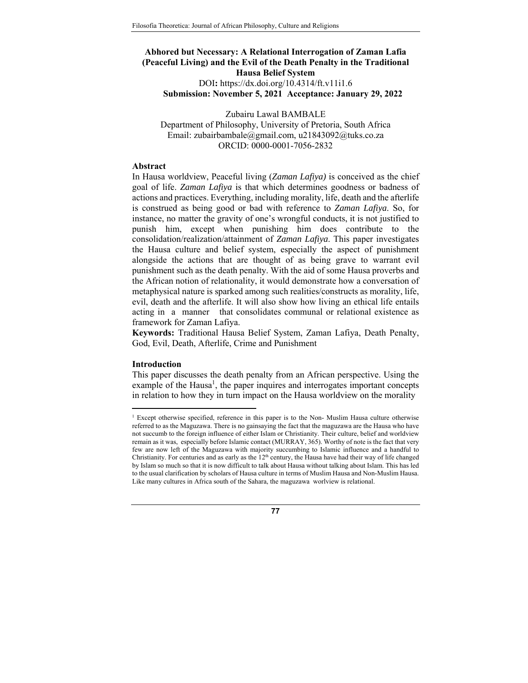# **Abhored but Necessary: A Relational Interrogation of Zaman Lafia (Peaceful Living) and the Evil of the Death Penalty in the Traditional Hausa Belief System**  DOI**:** https://dx.doi.org/10.4314/ft.v11i1.6 **Submission: November 5, 2021 Acceptance: January 29, 2022**

Zubairu Lawal BAMBALE Department of Philosophy, University of Pretoria, South Africa Email: zubairbambale@gmail.com, u21843092@tuks.co.za ORCID: 0000-0001-7056-2832

#### **Abstract**

In Hausa worldview, Peaceful living (*Zaman Lafiya)* is conceived as the chief goal of life. *Zaman Lafiya* is that which determines goodness or badness of actions and practices. Everything, including morality, life, death and the afterlife is construed as being good or bad with reference to *Zaman Lafiya*. So, for instance, no matter the gravity of one's wrongful conducts, it is not justified to punish him, except when punishing him does contribute to the consolidation/realization/attainment of *Zaman Lafiya*. This paper investigates the Hausa culture and belief system, especially the aspect of punishment alongside the actions that are thought of as being grave to warrant evil punishment such as the death penalty. With the aid of some Hausa proverbs and the African notion of relationality, it would demonstrate how a conversation of metaphysical nature is sparked among such realities/constructs as morality, life, evil, death and the afterlife. It will also show how living an ethical life entails acting in a manner that consolidates communal or relational existence as framework for Zaman Lafiya.

**Keywords:** Traditional Hausa Belief System, Zaman Lafiya, Death Penalty, God, Evil, Death, Afterlife, Crime and Punishment

### **Introduction**

-

This paper discusses the death penalty from an African perspective. Using the example of the Hausa<sup>1</sup>, the paper inquires and interrogates important concepts in relation to how they in turn impact on the Hausa worldview on the morality

<sup>&</sup>lt;sup>1</sup> Except otherwise specified, reference in this paper is to the Non- Muslim Hausa culture otherwise referred to as the Maguzawa. There is no gainsaying the fact that the maguzawa are the Hausa who have not succumb to the foreign influence of either Islam or Christianity. Their culture, belief and worldview remain as it was, especially before Islamic contact (MURRAY, 365). Worthy of note is the fact that very few are now left of the Maguzawa with majority succumbing to Islamic influence and a handful to Christianity. For centuries and as early as the  $12<sup>th</sup>$  century, the Hausa have had their way of life changed by Islam so much so that it is now difficult to talk about Hausa without talking about Islam. This has led to the usual clarification by scholars of Hausa culture in terms of Muslim Hausa and Non-Muslim Hausa. Like many cultures in Africa south of the Sahara, the maguzawa worlview is relational.

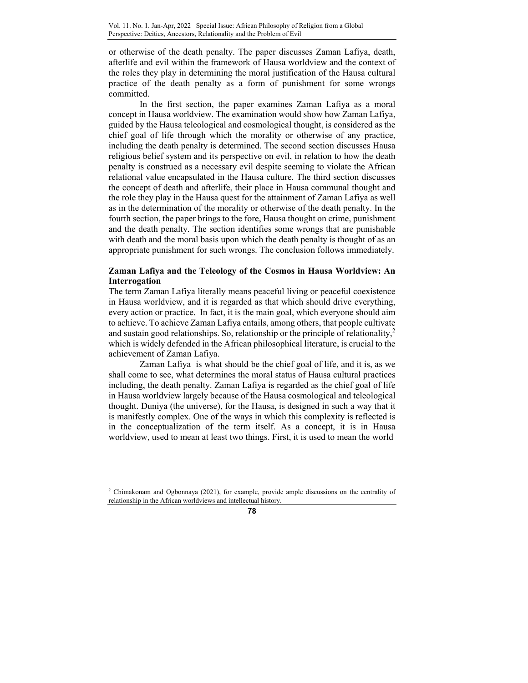or otherwise of the death penalty. The paper discusses Zaman Lafiya, death, afterlife and evil within the framework of Hausa worldview and the context of the roles they play in determining the moral justification of the Hausa cultural practice of the death penalty as a form of punishment for some wrongs committed.

In the first section, the paper examines Zaman Lafiya as a moral concept in Hausa worldview. The examination would show how Zaman Lafiya, guided by the Hausa teleological and cosmological thought, is considered as the chief goal of life through which the morality or otherwise of any practice, including the death penalty is determined. The second section discusses Hausa religious belief system and its perspective on evil, in relation to how the death penalty is construed as a necessary evil despite seeming to violate the African relational value encapsulated in the Hausa culture. The third section discusses the concept of death and afterlife, their place in Hausa communal thought and the role they play in the Hausa quest for the attainment of Zaman Lafiya as well as in the determination of the morality or otherwise of the death penalty. In the fourth section, the paper brings to the fore, Hausa thought on crime, punishment and the death penalty. The section identifies some wrongs that are punishable with death and the moral basis upon which the death penalty is thought of as an appropriate punishment for such wrongs. The conclusion follows immediately.

# **Zaman Lafiya and the Teleology of the Cosmos in Hausa Worldview: An Interrogation**

The term Zaman Lafiya literally means peaceful living or peaceful coexistence in Hausa worldview, and it is regarded as that which should drive everything, every action or practice. In fact, it is the main goal, which everyone should aim to achieve. To achieve Zaman Lafiya entails, among others, that people cultivate and sustain good relationships. So, relationship or the principle of relationality, $\lambda^2$ which is widely defended in the African philosophical literature, is crucial to the achievement of Zaman Lafiya.

 Zaman Lafiya is what should be the chief goal of life, and it is, as we shall come to see, what determines the moral status of Hausa cultural practices including, the death penalty. Zaman Lafiya is regarded as the chief goal of life in Hausa worldview largely because of the Hausa cosmological and teleological thought. Duniya (the universe), for the Hausa, is designed in such a way that it is manifestly complex. One of the ways in which this complexity is reflected is in the conceptualization of the term itself. As a concept, it is in Hausa worldview, used to mean at least two things. First, it is used to mean the world

 $\overline{a}$ 



<sup>2</sup> Chimakonam and Ogbonnaya (2021), for example, provide ample discussions on the centrality of relationship in the African worldviews and intellectual history.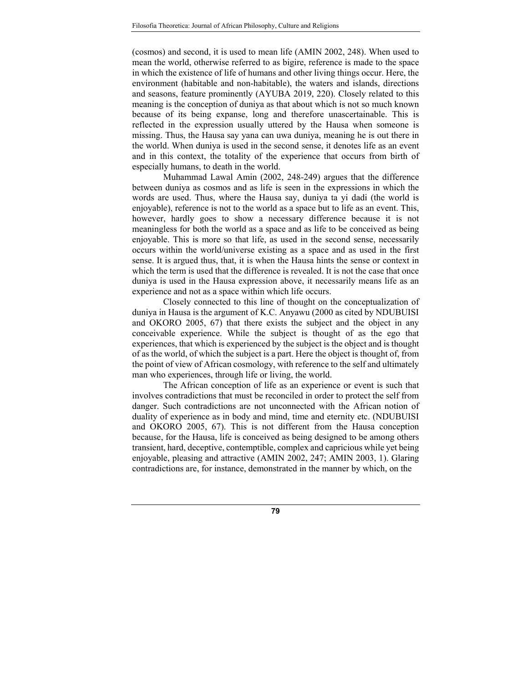(cosmos) and second, it is used to mean life (AMIN 2002, 248). When used to mean the world, otherwise referred to as bigire, reference is made to the space in which the existence of life of humans and other living things occur. Here, the environment (habitable and non-habitable), the waters and islands, directions and seasons, feature prominently (AYUBA 2019, 220). Closely related to this meaning is the conception of duniya as that about which is not so much known because of its being expanse, long and therefore unascertainable. This is reflected in the expression usually uttered by the Hausa when someone is missing. Thus, the Hausa say yana can uwa duniya, meaning he is out there in the world. When duniya is used in the second sense, it denotes life as an event and in this context, the totality of the experience that occurs from birth of especially humans, to death in the world.

Muhammad Lawal Amin (2002, 248-249) argues that the difference between duniya as cosmos and as life is seen in the expressions in which the words are used. Thus, where the Hausa say, duniya ta yi dadi (the world is enjoyable), reference is not to the world as a space but to life as an event. This, however, hardly goes to show a necessary difference because it is not meaningless for both the world as a space and as life to be conceived as being enjoyable. This is more so that life, as used in the second sense, necessarily occurs within the world/universe existing as a space and as used in the first sense. It is argued thus, that, it is when the Hausa hints the sense or context in which the term is used that the difference is revealed. It is not the case that once duniya is used in the Hausa expression above, it necessarily means life as an experience and not as a space within which life occurs.

Closely connected to this line of thought on the conceptualization of duniya in Hausa is the argument of K.C. Anyawu (2000 as cited by NDUBUISI and OKORO 2005, 67) that there exists the subject and the object in any conceivable experience. While the subject is thought of as the ego that experiences, that which is experienced by the subject is the object and is thought of as the world, of which the subject is a part. Here the object is thought of, from the point of view of African cosmology, with reference to the self and ultimately man who experiences, through life or living, the world.

The African conception of life as an experience or event is such that involves contradictions that must be reconciled in order to protect the self from danger. Such contradictions are not unconnected with the African notion of duality of experience as in body and mind, time and eternity etc. (NDUBUISI and OKORO 2005, 67). This is not different from the Hausa conception because, for the Hausa, life is conceived as being designed to be among others transient, hard, deceptive, contemptible, complex and capricious while yet being enjoyable, pleasing and attractive (AMIN 2002, 247; AMIN 2003, 1). Glaring contradictions are, for instance, demonstrated in the manner by which, on the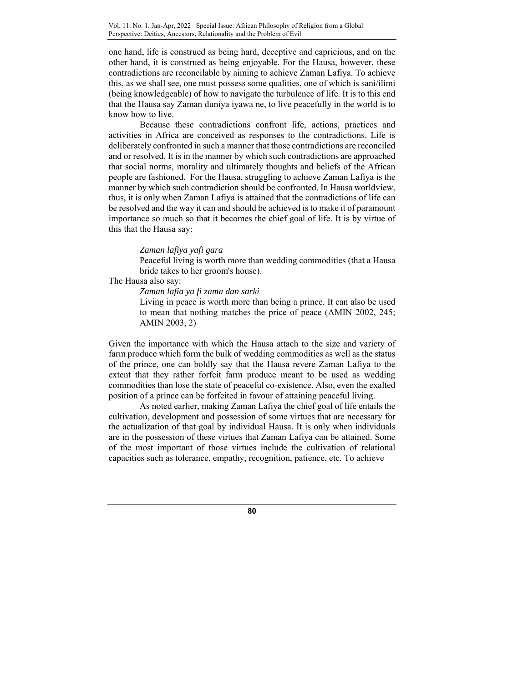one hand, life is construed as being hard, deceptive and capricious, and on the other hand, it is construed as being enjoyable. For the Hausa, however, these contradictions are reconcilable by aiming to achieve Zaman Lafiya. To achieve this, as we shall see, one must possess some qualities, one of which is sani/ilimi (being knowledgeable) of how to navigate the turbulence of life. It is to this end that the Hausa say Zaman duniya iyawa ne, to live peacefully in the world is to know how to live.

Because these contradictions confront life, actions, practices and activities in Africa are conceived as responses to the contradictions. Life is deliberately confronted in such a manner that those contradictions are reconciled and or resolved. It is in the manner by which such contradictions are approached that social norms, morality and ultimately thoughts and beliefs of the African people are fashioned. For the Hausa, struggling to achieve Zaman Lafiya is the manner by which such contradiction should be confronted. In Hausa worldview, thus, it is only when Zaman Lafiya is attained that the contradictions of life can be resolved and the way it can and should be achieved is to make it of paramount importance so much so that it becomes the chief goal of life. It is by virtue of this that the Hausa say:

### *Zaman lafiya yafi gara*

Peaceful living is worth more than wedding commodities (that a Hausa bride takes to her groom's house).

# The Hausa also say:

*Zaman lafia ya fi zama dan sarki* 

Living in peace is worth more than being a prince. It can also be used to mean that nothing matches the price of peace (AMIN 2002, 245; AMIN 2003, 2)

Given the importance with which the Hausa attach to the size and variety of farm produce which form the bulk of wedding commodities as well as the status of the prince, one can boldly say that the Hausa revere Zaman Lafiya to the extent that they rather forfeit farm produce meant to be used as wedding commodities than lose the state of peaceful co-existence. Also, even the exalted position of a prince can be forfeited in favour of attaining peaceful living.

 As noted earlier, making Zaman Lafiya the chief goal of life entails the cultivation, development and possession of some virtues that are necessary for the actualization of that goal by individual Hausa. It is only when individuals are in the possession of these virtues that Zaman Lafiya can be attained. Some of the most important of those virtues include the cultivation of relational capacities such as tolerance, empathy, recognition, patience, etc. To achieve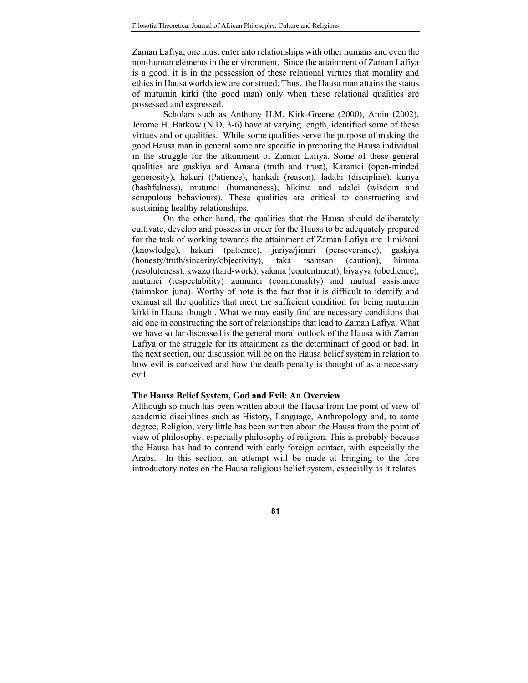Zaman Lafiya, one must enter into relationships with other humans and even the non-human elements in the environment. Since the attainment of Zaman Lafiya is a good, it is in the possession of these relational virtues that morality and ethics in Hausa worldview are construed. Thus, the Hausa man attains the status of mutumin kirki (the good man) only when these relational qualities are possessed and expressed.

Scholars such as Anthony H.M. Kirk-Greene (2000), Amin (2002), Jerome H. Barkow (N.D, 3-6) have at varying length, identified some of these virtues and or qualities. While some qualities serve the purpose of making the good Hausa man in general some are specific in preparing the Hausa individual in the struggle for the attainment of Zaman Lafiya. Some of these general qualities are gaskiya and Amana (truth and trust), Karamci (open-minded generosity), hakuri (Patience), hankali (reason), ladabi (discipline), kunya (bashfulness)*,* mutunci (humaneness), hikima and adalci (wisdom and scrupulous behaviours). These qualities are critical to constructing and sustaining healthy relationships.

On the other hand, the qualities that the Hausa should deliberately cultivate, develop and possess in order for the Hausa to be adequately prepared for the task of working towards the attainment of Zaman Lafiya are ilimi*/*sani (knowledge), hakuri (patience), juriya*/*jimiri (perseverance), gaskiya (honesty/truth/sincerity/objectivity), taka tsantsan (caution), himma (resoluteness), kwazo (hard-work), yakana (contentment), biyayya (obedience)*,* mutunci (respectability) zumunci (communality) and mutual assistance (taimakon juna). Worthy of note is the fact that it is difficult to identify and exhaust all the qualities that meet the sufficient condition for being mutumin kirki in Hausa thought. What we may easily find are necessary conditions that aid one in constructing the sort of relationships that lead to Zaman Lafiya. What we have so far discussed is the general moral outlook of the Hausa with Zaman Lafiya or the struggle for its attainment as the determinant of good or bad. In the next section, our discussion will be on the Hausa belief system in relation to how evil is conceived and how the death penalty is thought of as a necessary evil.

#### **The Hausa Belief System, God and Evil: An Overview**

Although so much has been written about the Hausa from the point of view of academic disciplines such as History, Language, Anthropology and, to some degree, Religion, very little has been written about the Hausa from the point of view of philosophy, especially philosophy of religion. This is probably because the Hausa has had to contend with early foreign contact, with especially the Arabs. In this section, an attempt will be made at bringing to the fore introductory notes on the Hausa religious belief system, especially as it relates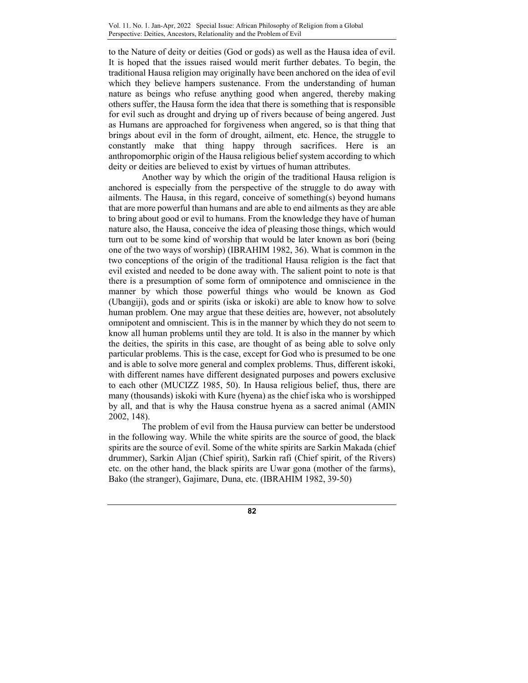to the Nature of deity or deities (God or gods) as well as the Hausa idea of evil. It is hoped that the issues raised would merit further debates. To begin, the traditional Hausa religion may originally have been anchored on the idea of evil which they believe hampers sustenance. From the understanding of human nature as beings who refuse anything good when angered, thereby making others suffer, the Hausa form the idea that there is something that is responsible for evil such as drought and drying up of rivers because of being angered. Just as Humans are approached for forgiveness when angered, so is that thing that brings about evil in the form of drought, ailment, etc. Hence, the struggle to constantly make that thing happy through sacrifices. Here is an anthropomorphic origin of the Hausa religious belief system according to which deity or deities are believed to exist by virtues of human attributes.

 Another way by which the origin of the traditional Hausa religion is anchored is especially from the perspective of the struggle to do away with ailments. The Hausa, in this regard, conceive of something(s) beyond humans that are more powerful than humans and are able to end ailments as they are able to bring about good or evil to humans. From the knowledge they have of human nature also, the Hausa, conceive the idea of pleasing those things, which would turn out to be some kind of worship that would be later known as bori (being one of the two ways of worship) (IBRAHIM 1982, 36). What is common in the two conceptions of the origin of the traditional Hausa religion is the fact that evil existed and needed to be done away with. The salient point to note is that there is a presumption of some form of omnipotence and omniscience in the manner by which those powerful things who would be known as God (Ubangiji), gods and or spirits (iska or iskoki) are able to know how to solve human problem. One may argue that these deities are, however, not absolutely omnipotent and omniscient. This is in the manner by which they do not seem to know all human problems until they are told. It is also in the manner by which the deities, the spirits in this case, are thought of as being able to solve only particular problems. This is the case, except for God who is presumed to be one and is able to solve more general and complex problems. Thus, different iskoki, with different names have different designated purposes and powers exclusive to each other (MUCIZZ 1985, 50). In Hausa religious belief, thus, there are many (thousands) iskoki with Kure (hyena) as the chief iska who is worshipped by all, and that is why the Hausa construe hyena as a sacred animal (AMIN 2002, 148).

 The problem of evil from the Hausa purview can better be understood in the following way. While the white spirits are the source of good, the black spirits are the source of evil. Some of the white spirits are Sarkin Makada (chief drummer), Sarkin Aljan (Chief spirit), Sarkin rafi (Chief spirit, of the Rivers) etc. on the other hand, the black spirits are Uwar gona (mother of the farms), Bako (the stranger), Gajimare, Duna, etc. (IBRAHIM 1982, 39-50)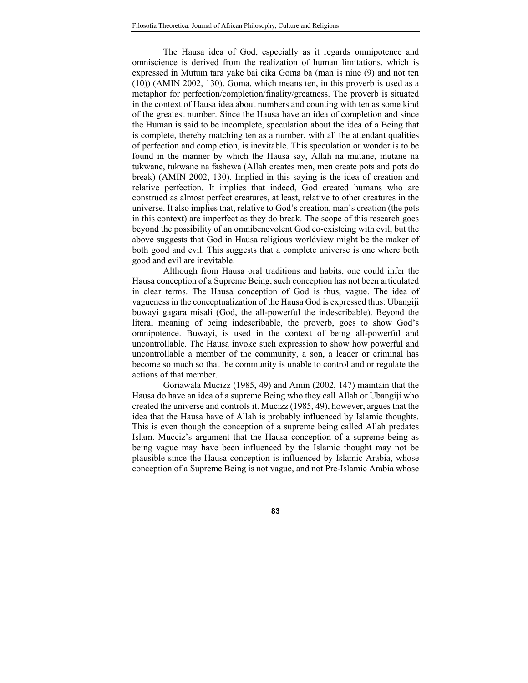The Hausa idea of God, especially as it regards omnipotence and omniscience is derived from the realization of human limitations, which is expressed in Mutum tara yake bai cika Goma ba (man is nine (9) and not ten (10)) (AMIN 2002, 130). Goma, which means ten, in this proverb is used as a metaphor for perfection/completion/finality/greatness. The proverb is situated in the context of Hausa idea about numbers and counting with ten as some kind of the greatest number. Since the Hausa have an idea of completion and since the Human is said to be incomplete, speculation about the idea of a Being that is complete, thereby matching ten as a number, with all the attendant qualities of perfection and completion, is inevitable. This speculation or wonder is to be found in the manner by which the Hausa say, Allah na mutane, mutane na tukwane, tukwane na fashewa (Allah creates men, men create pots and pots do break) (AMIN 2002, 130). Implied in this saying is the idea of creation and relative perfection. It implies that indeed, God created humans who are construed as almost perfect creatures, at least, relative to other creatures in the universe. It also implies that, relative to God's creation, man's creation (the pots in this context) are imperfect as they do break. The scope of this research goes beyond the possibility of an omnibenevolent God co-existeing with evil, but the above suggests that God in Hausa religious worldview might be the maker of both good and evil. This suggests that a complete universe is one where both good and evil are inevitable.

Although from Hausa oral traditions and habits, one could infer the Hausa conception of a Supreme Being, such conception has not been articulated in clear terms. The Hausa conception of God is thus, vague. The idea of vagueness in the conceptualization of the Hausa God is expressed thus: Ubangiji buwayi gagara misali (God, the all-powerful the indescribable). Beyond the literal meaning of being indescribable, the proverb, goes to show God's omnipotence. Buwayi, is used in the context of being all-powerful and uncontrollable. The Hausa invoke such expression to show how powerful and uncontrollable a member of the community, a son, a leader or criminal has become so much so that the community is unable to control and or regulate the actions of that member.

Goriawala Mucizz (1985, 49) and Amin (2002, 147) maintain that the Hausa do have an idea of a supreme Being who they call Allah or Ubangiji who created the universe and controls it. Mucizz (1985, 49), however, argues that the idea that the Hausa have of Allah is probably influenced by Islamic thoughts. This is even though the conception of a supreme being called Allah predates Islam. Mucciz's argument that the Hausa conception of a supreme being as being vague may have been influenced by the Islamic thought may not be plausible since the Hausa conception is influenced by Islamic Arabia, whose conception of a Supreme Being is not vague, and not Pre-Islamic Arabia whose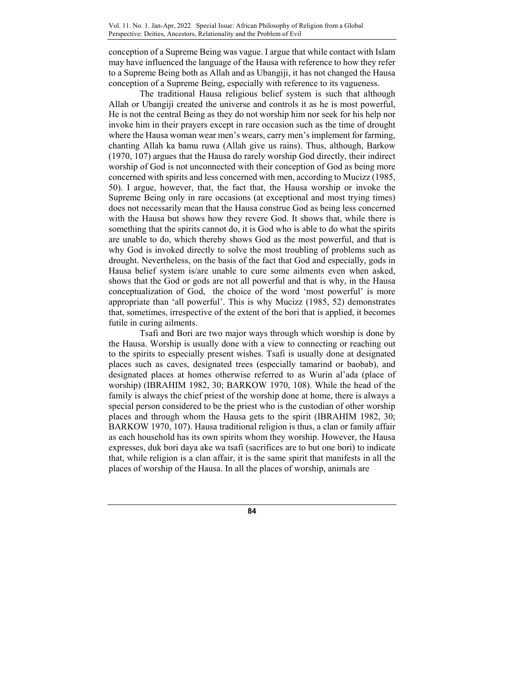conception of a Supreme Being was vague. I argue that while contact with Islam may have influenced the language of the Hausa with reference to how they refer to a Supreme Being both as Allah and as Ubangiji, it has not changed the Hausa conception of a Supreme Being, especially with reference to its vagueness.

The traditional Hausa religious belief system is such that although Allah or Ubangiji created the universe and controls it as he is most powerful, He is not the central Being as they do not worship him nor seek for his help nor invoke him in their prayers except in rare occasion such as the time of drought where the Hausa woman wear men's wears, carry men's implement for farming, chanting Allah ka bamu ruwa (Allah give us rains). Thus, although, Barkow (1970, 107) argues that the Hausa do rarely worship God directly, their indirect worship of God is not unconnected with their conception of God as being more concerned with spirits and less concerned with men, according to Mucizz (1985, 50). I argue, however, that, the fact that, the Hausa worship or invoke the Supreme Being only in rare occasions (at exceptional and most trying times) does not necessarily mean that the Hausa construe God as being less concerned with the Hausa but shows how they revere God. It shows that, while there is something that the spirits cannot do, it is God who is able to do what the spirits are unable to do, which thereby shows God as the most powerful, and that is why God is invoked directly to solve the most troubling of problems such as drought. Nevertheless, on the basis of the fact that God and especially, gods in Hausa belief system is/are unable to cure some ailments even when asked, shows that the God or gods are not all powerful and that is why, in the Hausa conceptualization of God, the choice of the word 'most powerful' is more appropriate than 'all powerful'. This is why Mucizz (1985, 52) demonstrates that, sometimes, irrespective of the extent of the bori that is applied, it becomes futile in curing ailments.

Tsafi and Bori are two major ways through which worship is done by the Hausa. Worship is usually done with a view to connecting or reaching out to the spirits to especially present wishes. Tsafi is usually done at designated places such as caves, designated trees (especially tamarind or baobab), and designated places at homes otherwise referred to as Wurin al'ada (place of worship) (IBRAHIM 1982, 30; BARKOW 1970, 108). While the head of the family is always the chief priest of the worship done at home, there is always a special person considered to be the priest who is the custodian of other worship places and through whom the Hausa gets to the spirit (IBRAHIM 1982, 30; BARKOW 1970, 107). Hausa traditional religion is thus, a clan or family affair as each household has its own spirits whom they worship. However, the Hausa expresses, duk bori daya ake wa tsafi (sacrifices are to but one bori) to indicate that, while religion is a clan affair, it is the same spirit that manifests in all the places of worship of the Hausa. In all the places of worship, animals are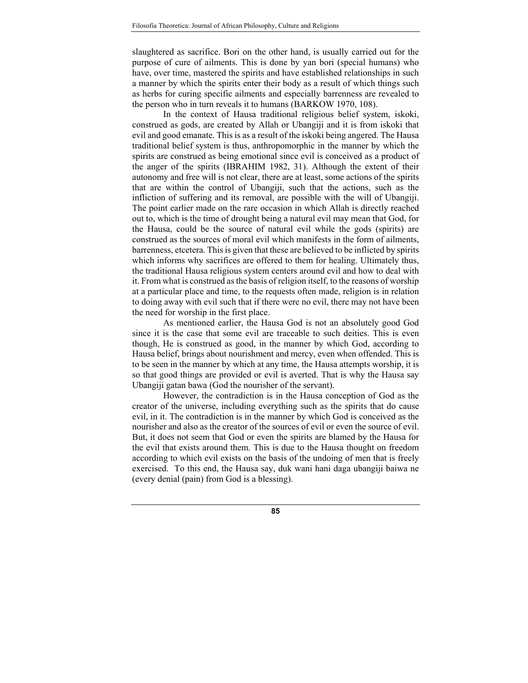slaughtered as sacrifice. Bori on the other hand, is usually carried out for the purpose of cure of ailments. This is done by yan bori (special humans) who have, over time, mastered the spirits and have established relationships in such a manner by which the spirits enter their body as a result of which things such as herbs for curing specific ailments and especially barrenness are revealed to the person who in turn reveals it to humans (BARKOW 1970, 108).

In the context of Hausa traditional religious belief system, iskoki, construed as gods, are created by Allah or Ubangiji and it is from iskoki that evil and good emanate. This is as a result of the iskoki being angered. The Hausa traditional belief system is thus, anthropomorphic in the manner by which the spirits are construed as being emotional since evil is conceived as a product of the anger of the spirits (IBRAHIM 1982, 31). Although the extent of their autonomy and free will is not clear, there are at least, some actions of the spirits that are within the control of Ubangiji, such that the actions, such as the infliction of suffering and its removal, are possible with the will of Ubangiji. The point earlier made on the rare occasion in which Allah is directly reached out to, which is the time of drought being a natural evil may mean that God, for the Hausa, could be the source of natural evil while the gods (spirits) are construed as the sources of moral evil which manifests in the form of ailments, barrenness, etcetera. This is given that these are believed to be inflicted by spirits which informs why sacrifices are offered to them for healing. Ultimately thus, the traditional Hausa religious system centers around evil and how to deal with it. From what is construed as the basis of religion itself, to the reasons of worship at a particular place and time, to the requests often made, religion is in relation to doing away with evil such that if there were no evil, there may not have been the need for worship in the first place.

As mentioned earlier, the Hausa God is not an absolutely good God since it is the case that some evil are traceable to such deities. This is even though, He is construed as good, in the manner by which God, according to Hausa belief, brings about nourishment and mercy, even when offended. This is to be seen in the manner by which at any time, the Hausa attempts worship, it is so that good things are provided or evil is averted. That is why the Hausa say Ubangiji gatan bawa (God the nourisher of the servant).

However, the contradiction is in the Hausa conception of God as the creator of the universe, including everything such as the spirits that do cause evil, in it. The contradiction is in the manner by which God is conceived as the nourisher and also as the creator of the sources of evil or even the source of evil. But, it does not seem that God or even the spirits are blamed by the Hausa for the evil that exists around them. This is due to the Hausa thought on freedom according to which evil exists on the basis of the undoing of men that is freely exercised. To this end, the Hausa say, duk wani hani daga ubangiji baiwa ne (every denial (pain) from God is a blessing).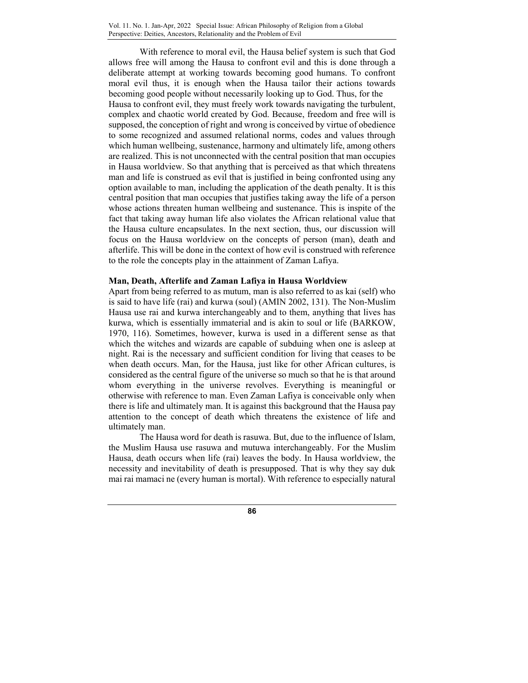With reference to moral evil, the Hausa belief system is such that God allows free will among the Hausa to confront evil and this is done through a deliberate attempt at working towards becoming good humans. To confront moral evil thus, it is enough when the Hausa tailor their actions towards becoming good people without necessarily looking up to God. Thus, for the Hausa to confront evil, they must freely work towards navigating the turbulent, complex and chaotic world created by God. Because, freedom and free will is supposed, the conception of right and wrong is conceived by virtue of obedience to some recognized and assumed relational norms, codes and values through which human wellbeing, sustenance, harmony and ultimately life, among others are realized. This is not unconnected with the central position that man occupies in Hausa worldview. So that anything that is perceived as that which threatens man and life is construed as evil that is justified in being confronted using any option available to man, including the application of the death penalty. It is this central position that man occupies that justifies taking away the life of a person whose actions threaten human wellbeing and sustenance. This is inspite of the fact that taking away human life also violates the African relational value that the Hausa culture encapsulates. In the next section, thus, our discussion will focus on the Hausa worldview on the concepts of person (man), death and afterlife. This will be done in the context of how evil is construed with reference to the role the concepts play in the attainment of Zaman Lafiya.

### **Man, Death, Afterlife and Zaman Lafiya in Hausa Worldview**

Apart from being referred to as mutum, man is also referred to as kai (self) who is said to have life (rai) and kurwa (soul) (AMIN 2002, 131). The Non-Muslim Hausa use rai and kurwa interchangeably and to them, anything that lives has kurwa, which is essentially immaterial and is akin to soul or life (BARKOW, 1970, 116). Sometimes, however, kurwa is used in a different sense as that which the witches and wizards are capable of subduing when one is asleep at night. Rai is the necessary and sufficient condition for living that ceases to be when death occurs. Man, for the Hausa, just like for other African cultures, is considered as the central figure of the universe so much so that he is that around whom everything in the universe revolves. Everything is meaningful or otherwise with reference to man. Even Zaman Lafiya is conceivable only when there is life and ultimately man. It is against this background that the Hausa pay attention to the concept of death which threatens the existence of life and ultimately man.

 The Hausa word for death is rasuwa. But, due to the influence of Islam, the Muslim Hausa use rasuwa and mutuwa interchangeably. For the Muslim Hausa, death occurs when life (rai) leaves the body. In Hausa worldview, the necessity and inevitability of death is presupposed. That is why they say duk mai rai mamaci ne (every human is mortal). With reference to especially natural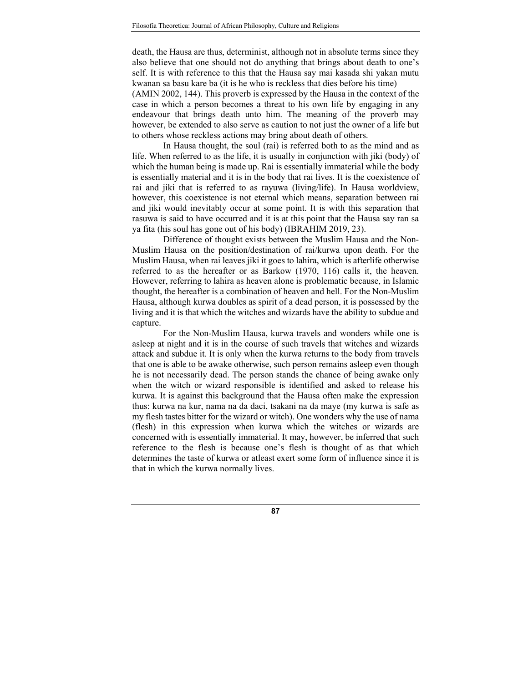death, the Hausa are thus, determinist, although not in absolute terms since they also believe that one should not do anything that brings about death to one's self. It is with reference to this that the Hausa say mai kasada shi yakan mutu kwanan sa basu kare ba (it is he who is reckless that dies before his time)

(AMIN 2002, 144). This proverb is expressed by the Hausa in the context of the case in which a person becomes a threat to his own life by engaging in any endeavour that brings death unto him. The meaning of the proverb may however, be extended to also serve as caution to not just the owner of a life but to others whose reckless actions may bring about death of others.

In Hausa thought, the soul (rai) is referred both to as the mind and as life. When referred to as the life, it is usually in conjunction with jiki (body) of which the human being is made up. Rai is essentially immaterial while the body is essentially material and it is in the body that rai lives. It is the coexistence of rai and jiki that is referred to as rayuwa (living/life). In Hausa worldview, however, this coexistence is not eternal which means, separation between rai and jiki would inevitably occur at some point. It is with this separation that rasuwa is said to have occurred and it is at this point that the Hausa say ran sa ya fita (his soul has gone out of his body) (IBRAHIM 2019, 23).

Difference of thought exists between the Muslim Hausa and the Non-Muslim Hausa on the position/destination of rai/kurwa upon death. For the Muslim Hausa, when rai leaves jiki it goes to lahira, which is afterlife otherwise referred to as the hereafter or as Barkow (1970, 116) calls it, the heaven. However, referring to lahira as heaven alone is problematic because, in Islamic thought, the hereafter is a combination of heaven and hell. For the Non-Muslim Hausa, although kurwa doubles as spirit of a dead person, it is possessed by the living and it is that which the witches and wizards have the ability to subdue and capture.

For the Non-Muslim Hausa, kurwa travels and wonders while one is asleep at night and it is in the course of such travels that witches and wizards attack and subdue it. It is only when the kurwa returns to the body from travels that one is able to be awake otherwise, such person remains asleep even though he is not necessarily dead. The person stands the chance of being awake only when the witch or wizard responsible is identified and asked to release his kurwa. It is against this background that the Hausa often make the expression thus: kurwa na kur, nama na da daci, tsakani na da maye (my kurwa is safe as my flesh tastes bitter for the wizard or witch). One wonders why the use of nama (flesh) in this expression when kurwa which the witches or wizards are concerned with is essentially immaterial. It may, however, be inferred that such reference to the flesh is because one's flesh is thought of as that which determines the taste of kurwa or atleast exert some form of influence since it is that in which the kurwa normally lives.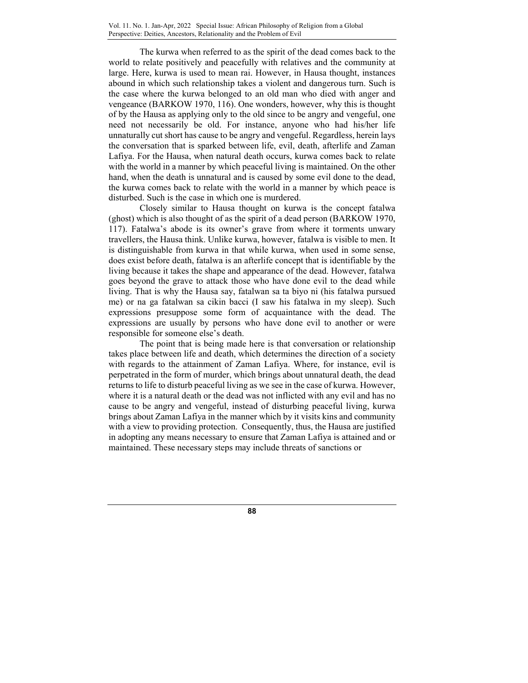The kurwa when referred to as the spirit of the dead comes back to the world to relate positively and peacefully with relatives and the community at large. Here, kurwa is used to mean rai. However, in Hausa thought, instances abound in which such relationship takes a violent and dangerous turn. Such is the case where the kurwa belonged to an old man who died with anger and vengeance (BARKOW 1970, 116). One wonders, however, why this is thought of by the Hausa as applying only to the old since to be angry and vengeful, one need not necessarily be old. For instance, anyone who had his/her life unnaturally cut short has cause to be angry and vengeful. Regardless, herein lays the conversation that is sparked between life, evil, death, afterlife and Zaman Lafiya. For the Hausa, when natural death occurs, kurwa comes back to relate with the world in a manner by which peaceful living is maintained. On the other hand, when the death is unnatural and is caused by some evil done to the dead, the kurwa comes back to relate with the world in a manner by which peace is disturbed. Such is the case in which one is murdered.

Closely similar to Hausa thought on kurwa is the concept fatalwa (ghost) which is also thought of as the spirit of a dead person (BARKOW 1970, 117). Fatalwa's abode is its owner's grave from where it torments unwary travellers, the Hausa think. Unlike kurwa, however, fatalwa is visible to men. It is distinguishable from kurwa in that while kurwa, when used in some sense, does exist before death, fatalwa is an afterlife concept that is identifiable by the living because it takes the shape and appearance of the dead. However, fatalwa goes beyond the grave to attack those who have done evil to the dead while living. That is why the Hausa say, fatalwan sa ta biyo ni (his fatalwa pursued me) or na ga fatalwan sa cikin bacci (I saw his fatalwa in my sleep). Such expressions presuppose some form of acquaintance with the dead. The expressions are usually by persons who have done evil to another or were responsible for someone else's death.

The point that is being made here is that conversation or relationship takes place between life and death, which determines the direction of a society with regards to the attainment of Zaman Lafiya. Where, for instance, evil is perpetrated in the form of murder, which brings about unnatural death, the dead returns to life to disturb peaceful living as we see in the case of kurwa. However, where it is a natural death or the dead was not inflicted with any evil and has no cause to be angry and vengeful, instead of disturbing peaceful living, kurwa brings about Zaman Lafiya in the manner which by it visits kins and community with a view to providing protection. Consequently, thus, the Hausa are justified in adopting any means necessary to ensure that Zaman Lafiya is attained and or maintained. These necessary steps may include threats of sanctions or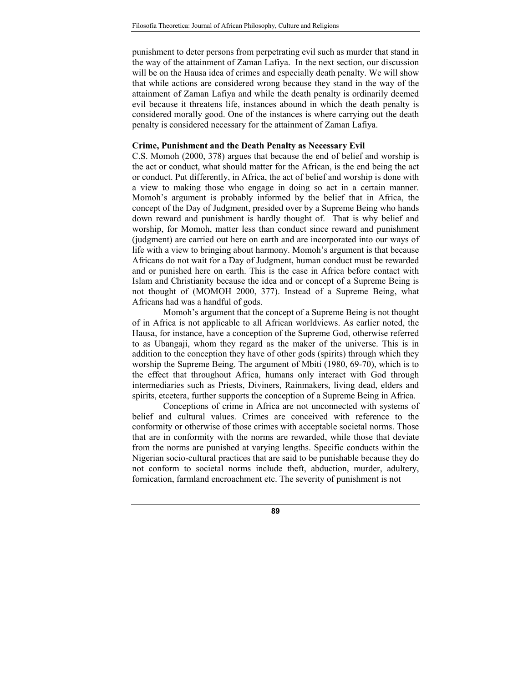punishment to deter persons from perpetrating evil such as murder that stand in the way of the attainment of Zaman Lafiya. In the next section, our discussion will be on the Hausa idea of crimes and especially death penalty. We will show that while actions are considered wrong because they stand in the way of the attainment of Zaman Lafiya and while the death penalty is ordinarily deemed evil because it threatens life, instances abound in which the death penalty is considered morally good. One of the instances is where carrying out the death penalty is considered necessary for the attainment of Zaman Lafiya.

### **Crime, Punishment and the Death Penalty as Necessary Evil**

C.S. Momoh (2000, 378) argues that because the end of belief and worship is the act or conduct, what should matter for the African, is the end being the act or conduct. Put differently, in Africa, the act of belief and worship is done with a view to making those who engage in doing so act in a certain manner. Momoh's argument is probably informed by the belief that in Africa, the concept of the Day of Judgment, presided over by a Supreme Being who hands down reward and punishment is hardly thought of. That is why belief and worship, for Momoh, matter less than conduct since reward and punishment (judgment) are carried out here on earth and are incorporated into our ways of life with a view to bringing about harmony. Momoh's argument is that because Africans do not wait for a Day of Judgment, human conduct must be rewarded and or punished here on earth. This is the case in Africa before contact with Islam and Christianity because the idea and or concept of a Supreme Being is not thought of (MOMOH 2000, 377). Instead of a Supreme Being, what Africans had was a handful of gods.

Momoh's argument that the concept of a Supreme Being is not thought of in Africa is not applicable to all African worldviews. As earlier noted, the Hausa, for instance, have a conception of the Supreme God, otherwise referred to as Ubangaji, whom they regard as the maker of the universe. This is in addition to the conception they have of other gods (spirits) through which they worship the Supreme Being. The argument of Mbiti (1980, 69-70), which is to the effect that throughout Africa, humans only interact with God through intermediaries such as Priests, Diviners, Rainmakers, living dead, elders and spirits, etcetera, further supports the conception of a Supreme Being in Africa.

Conceptions of crime in Africa are not unconnected with systems of belief and cultural values. Crimes are conceived with reference to the conformity or otherwise of those crimes with acceptable societal norms. Those that are in conformity with the norms are rewarded, while those that deviate from the norms are punished at varying lengths. Specific conducts within the Nigerian socio-cultural practices that are said to be punishable because they do not conform to societal norms include theft, abduction, murder, adultery, fornication, farmland encroachment etc. The severity of punishment is not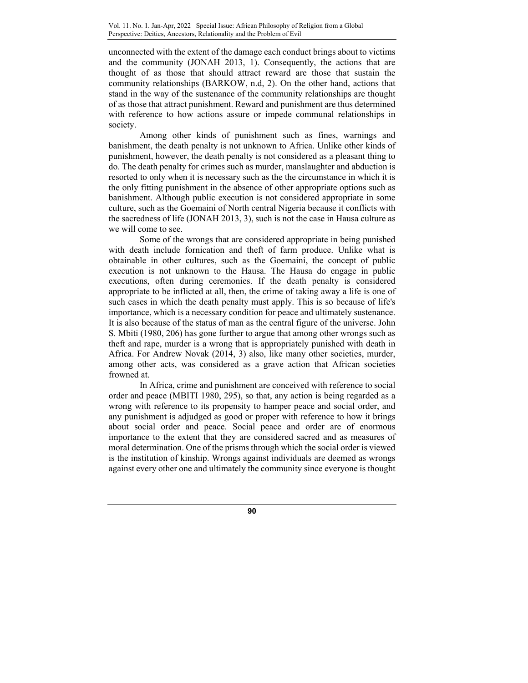unconnected with the extent of the damage each conduct brings about to victims and the community (JONAH 2013, 1). Consequently, the actions that are thought of as those that should attract reward are those that sustain the community relationships (BARKOW, n.d, 2). On the other hand, actions that stand in the way of the sustenance of the community relationships are thought of as those that attract punishment. Reward and punishment are thus determined with reference to how actions assure or impede communal relationships in society.

Among other kinds of punishment such as fines, warnings and banishment, the death penalty is not unknown to Africa. Unlike other kinds of punishment, however, the death penalty is not considered as a pleasant thing to do. The death penalty for crimes such as murder, manslaughter and abduction is resorted to only when it is necessary such as the the circumstance in which it is the only fitting punishment in the absence of other appropriate options such as banishment. Although public execution is not considered appropriate in some culture, such as the Goemaini of North central Nigeria because it conflicts with the sacredness of life (JONAH 2013, 3), such is not the case in Hausa culture as we will come to see.

Some of the wrongs that are considered appropriate in being punished with death include fornication and theft of farm produce. Unlike what is obtainable in other cultures, such as the Goemaini, the concept of public execution is not unknown to the Hausa. The Hausa do engage in public executions, often during ceremonies. If the death penalty is considered appropriate to be inflicted at all, then, the crime of taking away a life is one of such cases in which the death penalty must apply. This is so because of life's importance, which is a necessary condition for peace and ultimately sustenance. It is also because of the status of man as the central figure of the universe. John S. Mbiti (1980, 206) has gone further to argue that among other wrongs such as theft and rape, murder is a wrong that is appropriately punished with death in Africa. For Andrew Novak (2014, 3) also, like many other societies, murder, among other acts, was considered as a grave action that African societies frowned at.

In Africa, crime and punishment are conceived with reference to social order and peace (MBITI 1980, 295), so that, any action is being regarded as a wrong with reference to its propensity to hamper peace and social order, and any punishment is adjudged as good or proper with reference to how it brings about social order and peace. Social peace and order are of enormous importance to the extent that they are considered sacred and as measures of moral determination. One of the prisms through which the social order is viewed is the institution of kinship. Wrongs against individuals are deemed as wrongs against every other one and ultimately the community since everyone is thought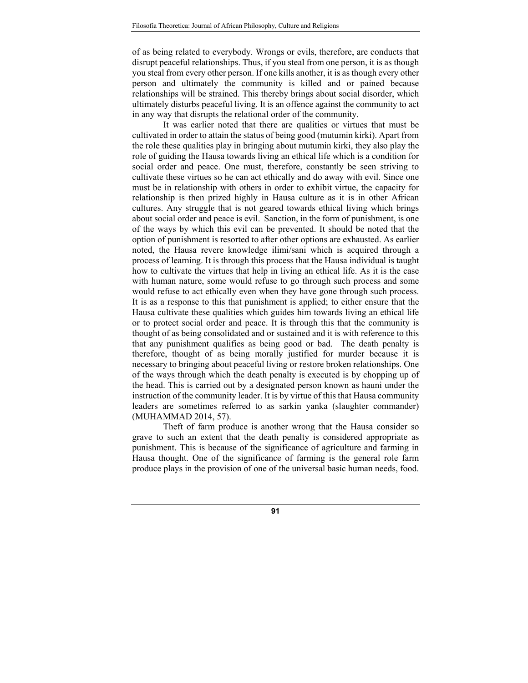of as being related to everybody. Wrongs or evils, therefore, are conducts that disrupt peaceful relationships. Thus, if you steal from one person, it is as though you steal from every other person. If one kills another, it is as though every other person and ultimately the community is killed and or pained because relationships will be strained. This thereby brings about social disorder, which ultimately disturbs peaceful living. It is an offence against the community to act in any way that disrupts the relational order of the community.

It was earlier noted that there are qualities or virtues that must be cultivated in order to attain the status of being good (mutumin kirki). Apart from the role these qualities play in bringing about mutumin kirki, they also play the role of guiding the Hausa towards living an ethical life which is a condition for social order and peace. One must, therefore, constantly be seen striving to cultivate these virtues so he can act ethically and do away with evil. Since one must be in relationship with others in order to exhibit virtue, the capacity for relationship is then prized highly in Hausa culture as it is in other African cultures. Any struggle that is not geared towards ethical living which brings about social order and peace is evil. Sanction, in the form of punishment, is one of the ways by which this evil can be prevented. It should be noted that the option of punishment is resorted to after other options are exhausted. As earlier noted, the Hausa revere knowledge ilimi/sani which is acquired through a process of learning. It is through this process that the Hausa individual is taught how to cultivate the virtues that help in living an ethical life. As it is the case with human nature, some would refuse to go through such process and some would refuse to act ethically even when they have gone through such process. It is as a response to this that punishment is applied; to either ensure that the Hausa cultivate these qualities which guides him towards living an ethical life or to protect social order and peace. It is through this that the community is thought of as being consolidated and or sustained and it is with reference to this that any punishment qualifies as being good or bad. The death penalty is therefore, thought of as being morally justified for murder because it is necessary to bringing about peaceful living or restore broken relationships. One of the ways through which the death penalty is executed is by chopping up of the head. This is carried out by a designated person known as hauni under the instruction of the community leader. It is by virtue of this that Hausa community leaders are sometimes referred to as sarkin yanka (slaughter commander) (MUHAMMAD 2014, 57).

Theft of farm produce is another wrong that the Hausa consider so grave to such an extent that the death penalty is considered appropriate as punishment. This is because of the significance of agriculture and farming in Hausa thought. One of the significance of farming is the general role farm produce plays in the provision of one of the universal basic human needs, food.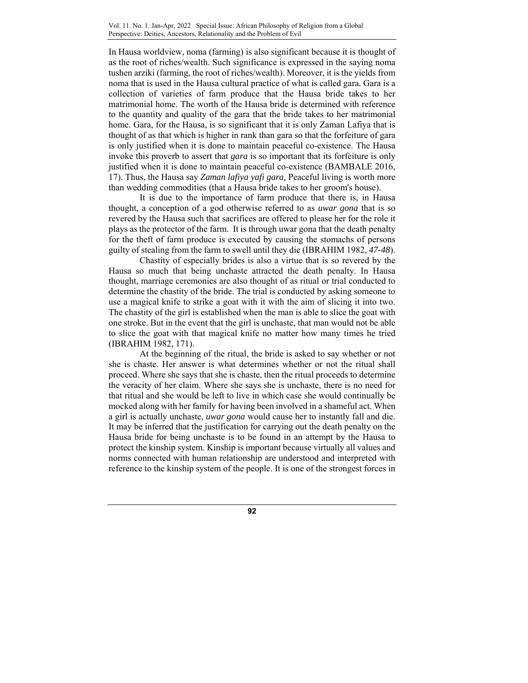In Hausa worldview, noma (farming) is also significant because it is thought of as the root of riches/wealth. Such significance is expressed in the saying noma tushen arziki (farming, the root of riches/wealth). Moreover, it is the yields from noma that is used in the Hausa cultural practice of what is called gara*.* Gara is a collection of varieties of farm produce that the Hausa bride takes to her matrimonial home. The worth of the Hausa bride is determined with reference to the quantity and quality of the gara that the bride takes to her matrimonial home. Gara, for the Hausa, is so significant that it is only Zaman Lafiya that is thought of as that which is higher in rank than gara so that the forfeiture of gara is only justified when it is done to maintain peaceful co-existence. The Hausa invoke this proverb to assert that *gara* is so important that its forfeiture is only justified when it is done to maintain peaceful co-existence (BAMBALE 2016, 17). Thus, the Hausa say *Zaman lafiya yafi gara,* Peaceful living is worth more than wedding commodities (that a Hausa bride takes to her groom's house).

It is due to the importance of farm produce that there is, in Hausa thought, a conception of a god otherwise referred to as *uwar gona* that is so revered by the Hausa such that sacrifices are offered to please her for the role it plays as the protector of the farm. It is through uwar gona that the death penalty for the theft of farm produce is executed by causing the stomachs of persons guilty of stealing from the farm to swell until they die (IBRAHIM 1982, *47-48*).

Chastity of especially brides is also a virtue that is so revered by the Hausa so much that being unchaste attracted the death penalty. In Hausa thought, marriage ceremonies are also thought of as ritual or trial conducted to determine the chastity of the bride. The trial is conducted by asking someone to use a magical knife to strike a goat with it with the aim of slicing it into two. The chastity of the girl is established when the man is able to slice the goat with one stroke. But in the event that the girl is unchaste, that man would not be able to slice the goat with that magical knife no matter how many times he tried (IBRAHIM 1982, 171).

At the beginning of the ritual, the bride is asked to say whether or not she is chaste. Her answer is what determines whether or not the ritual shall proceed. Where she says that she is chaste, then the ritual proceeds to determine the veracity of her claim. Where she says she is unchaste, there is no need for that ritual and she would be left to live in which case she would continually be mocked along with her family for having been involved in a shameful act. When a girl is actually unchaste, *uwar gona* would cause her to instantly fall and die. It may be inferred that the justification for carrying out the death penalty on the Hausa bride for being unchaste is to be found in an attempt by the Hausa to protect the kinship system. Kinship is important because virtually all values and norms connected with human relationship are understood and interpreted with reference to the kinship system of the people. It is one of the strongest forces in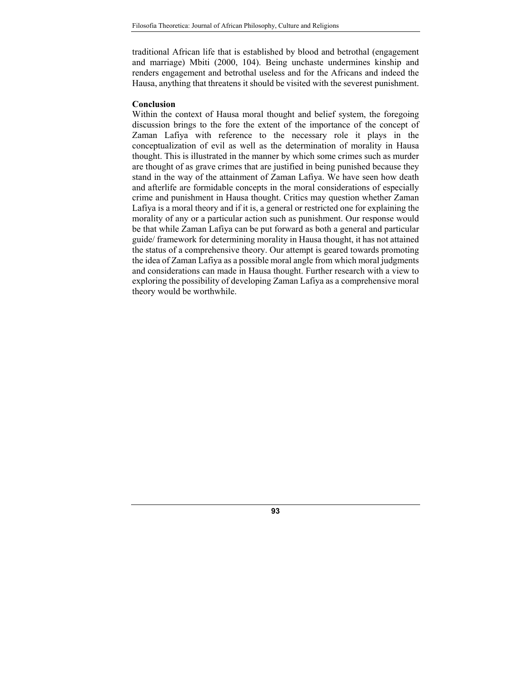traditional African life that is established by blood and betrothal (engagement and marriage) Mbiti (2000, 104). Being unchaste undermines kinship and renders engagement and betrothal useless and for the Africans and indeed the Hausa, anything that threatens it should be visited with the severest punishment.

## **Conclusion**

Within the context of Hausa moral thought and belief system, the foregoing discussion brings to the fore the extent of the importance of the concept of Zaman Lafiya with reference to the necessary role it plays in the conceptualization of evil as well as the determination of morality in Hausa thought. This is illustrated in the manner by which some crimes such as murder are thought of as grave crimes that are justified in being punished because they stand in the way of the attainment of Zaman Lafiya. We have seen how death and afterlife are formidable concepts in the moral considerations of especially crime and punishment in Hausa thought. Critics may question whether Zaman Lafiya is a moral theory and if it is, a general or restricted one for explaining the morality of any or a particular action such as punishment. Our response would be that while Zaman Lafiya can be put forward as both a general and particular guide/ framework for determining morality in Hausa thought, it has not attained the status of a comprehensive theory. Our attempt is geared towards promoting the idea of Zaman Lafiya as a possible moral angle from which moral judgments and considerations can made in Hausa thought. Further research with a view to exploring the possibility of developing Zaman Lafiya as a comprehensive moral theory would be worthwhile.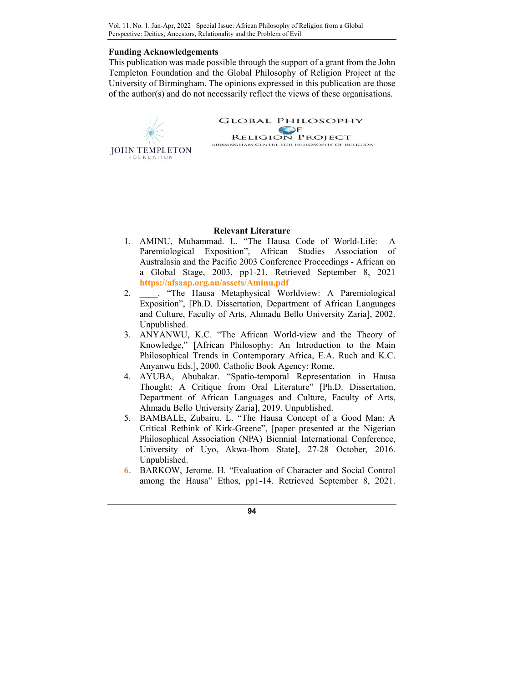## **Funding Acknowledgements**

This publication was made possible through the support of a grant from the John Templeton Foundation and the Global Philosophy of Religion Project at the University of Birmingham. The opinions expressed in this publication are those of the author(s) and do not necessarily reflect the views of these organisations.



**GLOBAL PHILOSOPHY EXECUTE RELIGION PROJECT**<br> **EXECUTE PROJECT**<br> **EXECUTE POR PHILOSOPHY OF RELIGION** 

# **Relevant Literature**

- 1. AMINU, Muhammad. L. "The Hausa Code of World-Life: A Paremiological Exposition", African Studies Association of Australasia and the Pacific 2003 Conference Proceedings - African on a Global Stage, 2003, pp1-21. Retrieved September 8, 2021 **https://afsaap.org.au/assets/Aminu.pdf**
- 2. \_\_\_\_. "The Hausa Metaphysical Worldview: A Paremiological Exposition", [Ph.D. Dissertation, Department of African Languages and Culture, Faculty of Arts, Ahmadu Bello University Zaria], 2002. Unpublished.
- 3. ANYANWU, K.C. "The African World-view and the Theory of Knowledge," [African Philosophy: An Introduction to the Main Philosophical Trends in Contemporary Africa, E.A. Ruch and K.C. Anyanwu Eds.], 2000. Catholic Book Agency: Rome.
- 4. AYUBA, Abubakar. "Spatio-temporal Representation in Hausa Thought: A Critique from Oral Literature" [Ph.D. Dissertation, Department of African Languages and Culture, Faculty of Arts, Ahmadu Bello University Zaria], 2019. Unpublished.
- 5. BAMBALE, Zubairu. L. "The Hausa Concept of a Good Man: A Critical Rethink of Kirk-Greene", [paper presented at the Nigerian Philosophical Association (NPA) Biennial International Conference, University of Uyo, Akwa-Ibom State], 27-28 October, 2016. Unpublished.
- **6.** BARKOW, Jerome. H. "Evaluation of Character and Social Control among the Hausa" Ethos, pp1-14. Retrieved September 8, 2021.

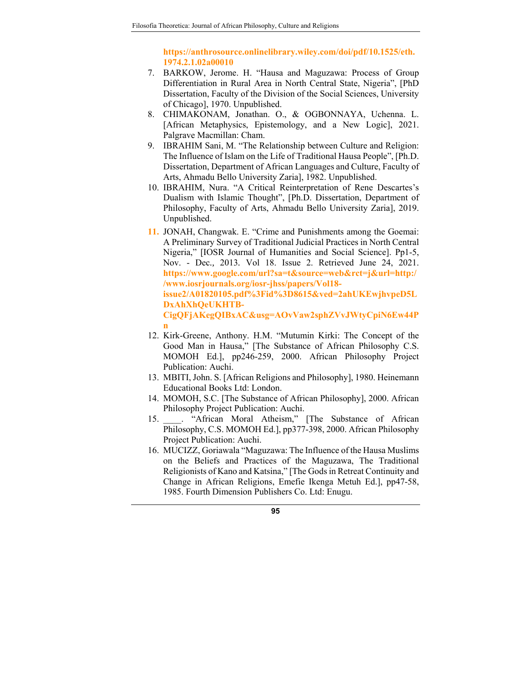**https://anthrosource.onlinelibrary.wiley.com/doi/pdf/10.1525/eth. 1974.2.1.02a00010** 

- 7. BARKOW, Jerome. H. "Hausa and Maguzawa: Process of Group Differentiation in Rural Area in North Central State, Nigeria", [PhD Dissertation, Faculty of the Division of the Social Sciences, University of Chicago], 1970. Unpublished.
- 8. CHIMAKONAM, Jonathan. O., & OGBONNAYA, Uchenna. L. [African Metaphysics, Epistemology, and a New Logic], 2021. Palgrave Macmillan: Cham.
- 9. IBRAHIM Sani, M. "The Relationship between Culture and Religion: The Influence of Islam on the Life of Traditional Hausa People", [Ph.D. Dissertation, Department of African Languages and Culture, Faculty of Arts, Ahmadu Bello University Zaria], 1982. Unpublished.
- 10. IBRAHIM, Nura. "A Critical Reinterpretation of Rene Descartes's Dualism with Islamic Thought", [Ph.D. Dissertation, Department of Philosophy, Faculty of Arts, Ahmadu Bello University Zaria], 2019. Unpublished.
- **11.** JONAH, Changwak. E. "Crime and Punishments among the Goemai: A Preliminary Survey of Traditional Judicial Practices in North Central Nigeria," [IOSR Journal of Humanities and Social Science]. Pp1-5, Nov. - Dec*.,* 2013*.* Vol 18. Issue 2. Retrieved June 24, 2021. **https://www.google.com/url?sa=t&source=web&rct=j&url=http:/ /www.iosrjournals.org/iosr-jhss/papers/Vol18 issue2/A01820105.pdf%3Fid%3D8615&ved=2ahUKEwjhvpeD5L DxAhXhQeUKHTB-CigQFjAKegQIBxAC&usg=AOvVaw2sphZVvJWtyCpiN6Ew44P n**
- 12. Kirk-Greene, Anthony. H.M. "Mutumin Kirki: The Concept of the Good Man in Hausa," [The Substance of African Philosophy C.S. MOMOH Ed.], pp246-259, 2000. African Philosophy Project Publication: Auchi.
- 13. MBITI, John. S. [African Religions and Philosophy], 1980. Heinemann Educational Books Ltd: London.
- 14. MOMOH, S.C. [The Substance of African Philosophy], 2000. African Philosophy Project Publication: Auchi.
- 15. \_\_\_\_. "African Moral Atheism," [The Substance of African Philosophy, C.S. MOMOH Ed.], pp377-398, 2000. African Philosophy Project Publication: Auchi.
- 16. MUCIZZ, Goriawala "Maguzawa: The Influence of the Hausa Muslims on the Beliefs and Practices of the Maguzawa, The Traditional Religionists of Kano and Katsina," [The Gods in Retreat Continuity and Change in African Religions, Emefie Ikenga Metuh Ed.], pp47-58, 1985. Fourth Dimension Publishers Co. Ltd: Enugu.